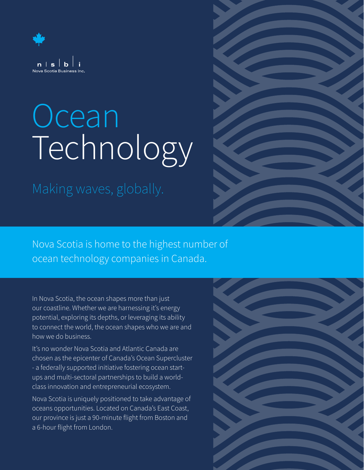

## **Ocean** Technology

Making waves, globally.



Nova Scotia is home to the highest number of ocean technology companies in Canada.

In Nova Scotia, the ocean shapes more than just our coastline. Whether we are harnessing it's energy potential, exploring its depths, or leveraging its ability to connect the world, the ocean shapes who we are and how we do business.

It's no wonder Nova Scotia and Atlantic Canada are chosen as the epicenter of Canada's Ocean Supercluster - a federally supported initiative fostering ocean startups and multi-sectoral partnerships to build a worldclass innovation and entrepreneurial ecosystem.

Nova Scotia is uniquely positioned to take advantage of oceans opportunities. Located on Canada's East Coast, our province is just a 90-minute flight from Boston and a 6-hour flight from London.